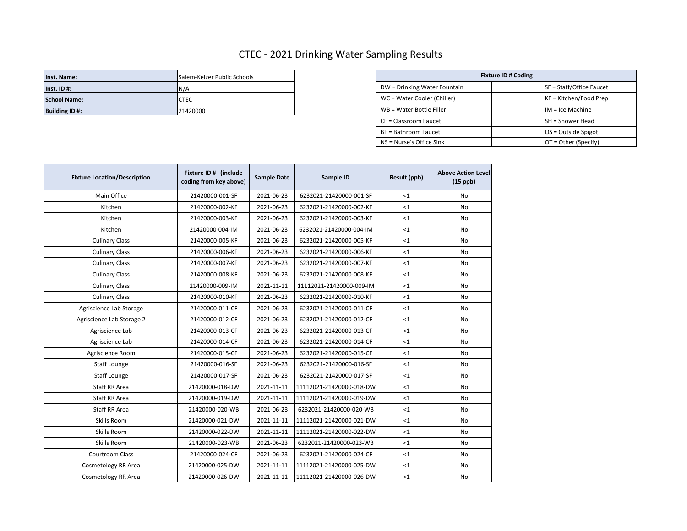## CTEC - 2021 Drinking Water Sampling Results

| Inst. Name:          | <b>Salem-Keizer Public Schools</b> | <b>Fixture ID # Coding</b>   |  |                          |
|----------------------|------------------------------------|------------------------------|--|--------------------------|
| $Inst.$ ID #:        | N/A                                | DW = Drinking Water Fountain |  | SF = Staff/Office Faucet |
| <b>School Name:</b>  | <b>CTEC</b>                        | WC = Water Cooler (Chiller)  |  | $KF = Kitchen/Food Prep$ |
| <b>Building ID#:</b> | 21420000                           | WB = Water Bottle Filler     |  | $IM = Ice Machine$       |

| Salem-Keizer Public Schools | <b>Fixture ID # Coding</b>   |  |                          |  |
|-----------------------------|------------------------------|--|--------------------------|--|
| N/A                         | DW = Drinking Water Fountain |  | $S = \frac{Staff}{Off}$  |  |
| CTEC.                       | WC = Water Cooler (Chiller)  |  | $KF = Kitchen/Food Prep$ |  |
| 21420000                    | WB = Water Bottle Filler     |  | $IM = Ice Machine$       |  |
|                             | CF = Classroom Faucet        |  | <b>SH</b> = Shower Head  |  |
|                             | BF = Bathroom Faucet         |  | OS = Outside Spigot      |  |
|                             | NS = Nurse's Office Sink     |  | $OT = Other(Specify)$    |  |

| <b>Fixture Location/Description</b> | Fixture ID # (include<br>coding from key above) | <b>Sample Date</b> | Sample ID                | Result (ppb) | <b>Above Action Level</b><br>$(15$ ppb) |
|-------------------------------------|-------------------------------------------------|--------------------|--------------------------|--------------|-----------------------------------------|
| Main Office                         | 21420000-001-SF                                 | 2021-06-23         | 6232021-21420000-001-SF  | $<$ 1        | No                                      |
| Kitchen                             | 21420000-002-KF                                 | 2021-06-23         | 6232021-21420000-002-KF  | $\leq 1$     | No.                                     |
| Kitchen                             | 21420000-003-KF                                 | 2021-06-23         | 6232021-21420000-003-KF  | $<1\,$       | No                                      |
| Kitchen                             | 21420000-004-IM                                 | 2021-06-23         | 6232021-21420000-004-IM  | <1           | No                                      |
| <b>Culinary Class</b>               | 21420000-005-KF                                 | 2021-06-23         | 6232021-21420000-005-KF  | <1           | No.                                     |
| <b>Culinary Class</b>               | 21420000-006-KF                                 | 2021-06-23         | 6232021-21420000-006-KF  | <1           | <b>No</b>                               |
| <b>Culinary Class</b>               | 21420000-007-KF                                 | 2021-06-23         | 6232021-21420000-007-KF  | <1           | No                                      |
| <b>Culinary Class</b>               | 21420000-008-KF                                 | 2021-06-23         | 6232021-21420000-008-KF  | <1           | No.                                     |
| <b>Culinary Class</b>               | 21420000-009-IM                                 | 2021-11-11         | 11112021-21420000-009-IM | <1           | No                                      |
| <b>Culinary Class</b>               | 21420000-010-KF                                 | 2021-06-23         | 6232021-21420000-010-KF  | $<$ 1        | No                                      |
| Agriscience Lab Storage             | 21420000-011-CF                                 | 2021-06-23         | 6232021-21420000-011-CF  | $<1\,$       | No                                      |
| Agriscience Lab Storage 2           | 21420000-012-CF                                 | 2021-06-23         | 6232021-21420000-012-CF  | $\leq 1$     | No                                      |
| Agriscience Lab                     | 21420000-013-CF                                 | 2021-06-23         | 6232021-21420000-013-CF  | <1           | <b>No</b>                               |
| Agriscience Lab                     | 21420000-014-CF                                 | 2021-06-23         | 6232021-21420000-014-CF  | <1           | <b>No</b>                               |
| Agriscience Room                    | 21420000-015-CF                                 | 2021-06-23         | 6232021-21420000-015-CF  | <1           | No                                      |
| Staff Lounge                        | 21420000-016-SF                                 | 2021-06-23         | 6232021-21420000-016-SF  | <1           | No.                                     |
| <b>Staff Lounge</b>                 | 21420000-017-SF                                 | 2021-06-23         | 6232021-21420000-017-SF  | <1           | No                                      |
| <b>Staff RR Area</b>                | 21420000-018-DW                                 | 2021-11-11         | 11112021-21420000-018-DW | <1           | No                                      |
| <b>Staff RR Area</b>                | 21420000-019-DW                                 | 2021-11-11         | 11112021-21420000-019-DW | <1           | No.                                     |
| <b>Staff RR Area</b>                | 21420000-020-WB                                 | 2021-06-23         | 6232021-21420000-020-WB  | <1           | No                                      |
| Skills Room                         | 21420000-021-DW                                 | 2021-11-11         | 11112021-21420000-021-DW | <1           | <b>No</b>                               |
| Skills Room                         | 21420000-022-DW                                 | 2021-11-11         | 11112021-21420000-022-DW | $<$ 1        | No                                      |
| Skills Room                         | 21420000-023-WB                                 | 2021-06-23         | 6232021-21420000-023-WB  | $\leq 1$     | <b>No</b>                               |
| Courtroom Class                     | 21420000-024-CF                                 | 2021-06-23         | 6232021-21420000-024-CF  | $\leq 1$     | No.                                     |
| Cosmetology RR Area                 | 21420000-025-DW                                 | 2021-11-11         | 11112021-21420000-025-DW | $<1\,$       | No                                      |
| <b>Cosmetology RR Area</b>          | 21420000-026-DW                                 | 2021-11-11         | 11112021-21420000-026-DW | <1           | No                                      |